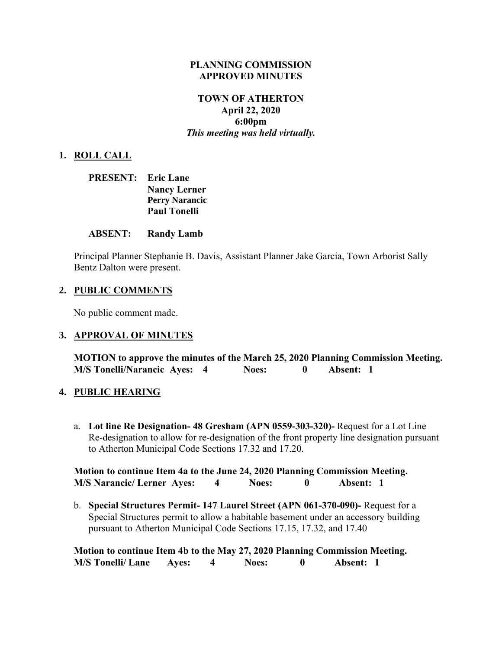#### **PLANNING COMMISSION APPROVED MINUTES**

### **TOWN OF ATHERTON April 22, 2020 6:00pm** *This meeting was held virtually.*

### **1. ROLL CALL**

| <b>PRESENT:</b> Eric Lane |                       |
|---------------------------|-----------------------|
|                           | <b>Nancy Lerner</b>   |
|                           | <b>Perry Narancic</b> |
|                           | <b>Paul Tonelli</b>   |

#### **ABSENT: Randy Lamb**

Principal Planner Stephanie B. Davis, Assistant Planner Jake Garcia, Town Arborist Sally Bentz Dalton were present.

#### **2. PUBLIC COMMENTS**

No public comment made.

#### **3. APPROVAL OF MINUTES**

**MOTION to approve the minutes of the March 25, 2020 Planning Commission Meeting. M/S Tonelli/Narancic Ayes: 4 Noes: 0 Absent: 1** 

#### **4. PUBLIC HEARING**

a. **Lot line Re Designation- 48 Gresham (APN 0559-303-320)-** Request for a Lot Line Re-designation to allow for re-designation of the front property line designation pursuant to Atherton Municipal Code Sections 17.32 and 17.20.

**Motion to continue Item 4a to the June 24, 2020 Planning Commission Meeting. M/S Narancic/ Lerner Ayes: 4 Noes: 0 Absent: 1**

b. **Special Structures Permit- 147 Laurel Street (APN 061-370-090)-** Request for a Special Structures permit to allow a habitable basement under an accessory building pursuant to Atherton Municipal Code Sections 17.15, 17.32, and 17.40

**Motion to continue Item 4b to the May 27, 2020 Planning Commission Meeting. M/S Tonelli/ Lane Ayes: 4 Noes: 0 Absent: 1**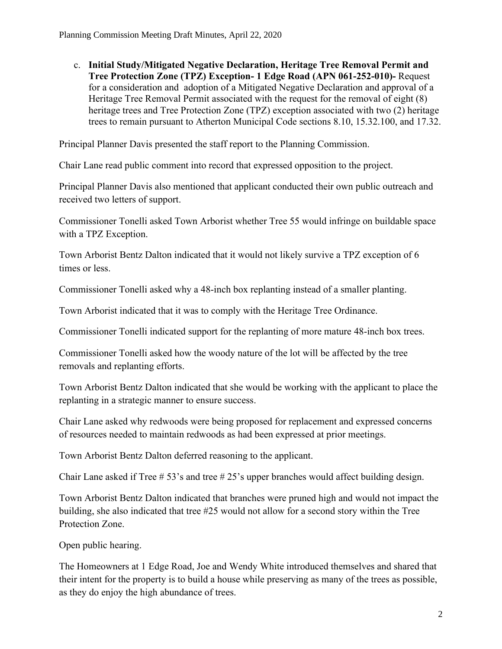c. **Initial Study/Mitigated Negative Declaration, Heritage Tree Removal Permit and Tree Protection Zone (TPZ) Exception- 1 Edge Road (APN 061-252-010)-** Request for a consideration and adoption of a Mitigated Negative Declaration and approval of a Heritage Tree Removal Permit associated with the request for the removal of eight (8) heritage trees and Tree Protection Zone (TPZ) exception associated with two (2) heritage trees to remain pursuant to Atherton Municipal Code sections 8.10, 15.32.100, and 17.32.

Principal Planner Davis presented the staff report to the Planning Commission.

Chair Lane read public comment into record that expressed opposition to the project.

Principal Planner Davis also mentioned that applicant conducted their own public outreach and received two letters of support.

Commissioner Tonelli asked Town Arborist whether Tree 55 would infringe on buildable space with a TPZ Exception.

Town Arborist Bentz Dalton indicated that it would not likely survive a TPZ exception of 6 times or less.

Commissioner Tonelli asked why a 48-inch box replanting instead of a smaller planting.

Town Arborist indicated that it was to comply with the Heritage Tree Ordinance.

Commissioner Tonelli indicated support for the replanting of more mature 48-inch box trees.

Commissioner Tonelli asked how the woody nature of the lot will be affected by the tree removals and replanting efforts.

Town Arborist Bentz Dalton indicated that she would be working with the applicant to place the replanting in a strategic manner to ensure success.

Chair Lane asked why redwoods were being proposed for replacement and expressed concerns of resources needed to maintain redwoods as had been expressed at prior meetings.

Town Arborist Bentz Dalton deferred reasoning to the applicant.

Chair Lane asked if Tree # 53's and tree # 25's upper branches would affect building design.

Town Arborist Bentz Dalton indicated that branches were pruned high and would not impact the building, she also indicated that tree #25 would not allow for a second story within the Tree Protection Zone.

Open public hearing.

The Homeowners at 1 Edge Road, Joe and Wendy White introduced themselves and shared that their intent for the property is to build a house while preserving as many of the trees as possible, as they do enjoy the high abundance of trees.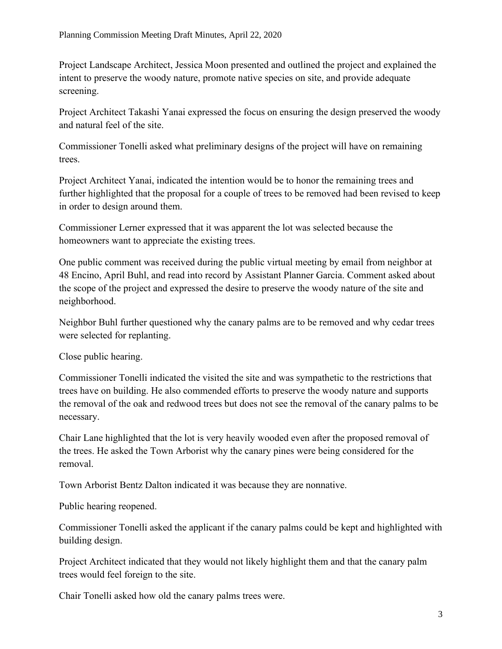Project Landscape Architect, Jessica Moon presented and outlined the project and explained the intent to preserve the woody nature, promote native species on site, and provide adequate screening.

Project Architect Takashi Yanai expressed the focus on ensuring the design preserved the woody and natural feel of the site.

Commissioner Tonelli asked what preliminary designs of the project will have on remaining trees.

Project Architect Yanai, indicated the intention would be to honor the remaining trees and further highlighted that the proposal for a couple of trees to be removed had been revised to keep in order to design around them.

Commissioner Lerner expressed that it was apparent the lot was selected because the homeowners want to appreciate the existing trees.

One public comment was received during the public virtual meeting by email from neighbor at 48 Encino, April Buhl, and read into record by Assistant Planner Garcia. Comment asked about the scope of the project and expressed the desire to preserve the woody nature of the site and neighborhood.

Neighbor Buhl further questioned why the canary palms are to be removed and why cedar trees were selected for replanting.

Close public hearing.

Commissioner Tonelli indicated the visited the site and was sympathetic to the restrictions that trees have on building. He also commended efforts to preserve the woody nature and supports the removal of the oak and redwood trees but does not see the removal of the canary palms to be necessary.

Chair Lane highlighted that the lot is very heavily wooded even after the proposed removal of the trees. He asked the Town Arborist why the canary pines were being considered for the removal.

Town Arborist Bentz Dalton indicated it was because they are nonnative.

Public hearing reopened.

Commissioner Tonelli asked the applicant if the canary palms could be kept and highlighted with building design.

Project Architect indicated that they would not likely highlight them and that the canary palm trees would feel foreign to the site.

Chair Tonelli asked how old the canary palms trees were.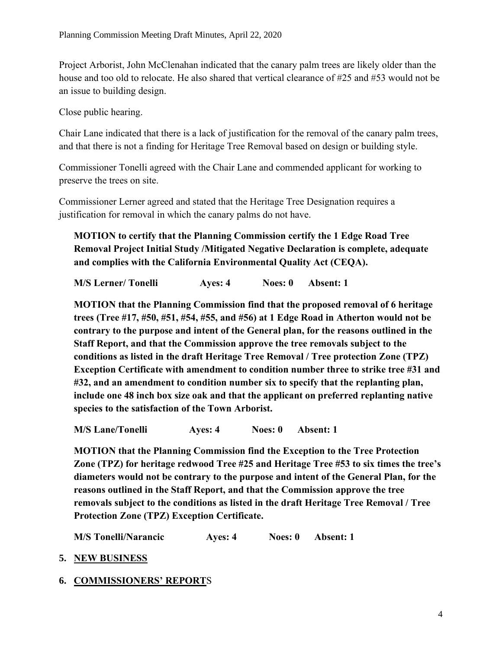Project Arborist, John McClenahan indicated that the canary palm trees are likely older than the house and too old to relocate. He also shared that vertical clearance of #25 and #53 would not be an issue to building design.

Close public hearing.

Chair Lane indicated that there is a lack of justification for the removal of the canary palm trees, and that there is not a finding for Heritage Tree Removal based on design or building style.

Commissioner Tonelli agreed with the Chair Lane and commended applicant for working to preserve the trees on site.

Commissioner Lerner agreed and stated that the Heritage Tree Designation requires a justification for removal in which the canary palms do not have.

**MOTION to certify that the Planning Commission certify the 1 Edge Road Tree Removal Project Initial Study /Mitigated Negative Declaration is complete, adequate and complies with the California Environmental Quality Act (CEQA).**

**M/S Lerner/ Tonelli Ayes: 4 Noes: 0 Absent: 1**

**MOTION that the Planning Commission find that the proposed removal of 6 heritage trees (Tree #17, #50, #51, #54, #55, and #56) at 1 Edge Road in Atherton would not be contrary to the purpose and intent of the General plan, for the reasons outlined in the Staff Report, and that the Commission approve the tree removals subject to the conditions as listed in the draft Heritage Tree Removal / Tree protection Zone (TPZ) Exception Certificate with amendment to condition number three to strike tree #31 and #32, and an amendment to condition number six to specify that the replanting plan, include one 48 inch box size oak and that the applicant on preferred replanting native species to the satisfaction of the Town Arborist.**

**M/S Lane/Tonelli Ayes: 4 Noes: 0 Absent: 1**

**MOTION that the Planning Commission find the Exception to the Tree Protection Zone (TPZ) for heritage redwood Tree #25 and Heritage Tree #53 to six times the tree's diameters would not be contrary to the purpose and intent of the General Plan, for the reasons outlined in the Staff Report, and that the Commission approve the tree removals subject to the conditions as listed in the draft Heritage Tree Removal / Tree Protection Zone (TPZ) Exception Certificate.**

**M/S Tonelli/Narancic Ayes: 4 Noes: 0 Absent: 1**

**5. NEW BUSINESS**

### **6. COMMISSIONERS' REPORT**S